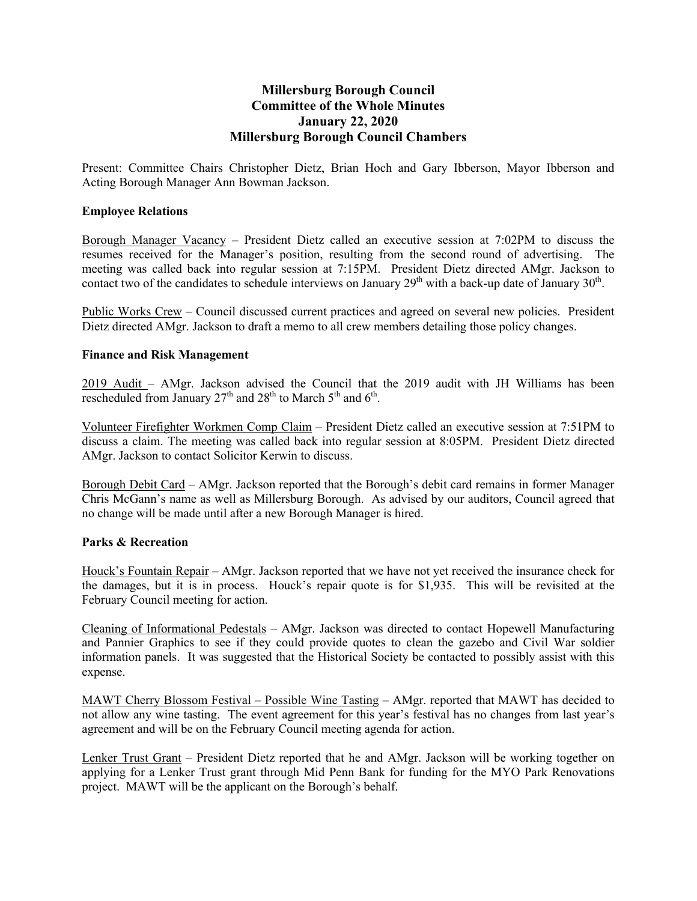# **Millersburg Borough Council Committee of the Whole Minutes January 22, 2020 Millersburg Borough Council Chambers**

Present: Committee Chairs Christopher Dietz, Brian Hoch and Gary Ibberson, Mayor Ibberson and Acting Borough Manager Ann Bowman Jackson.

#### **Employee Relations**

Borough Manager Vacancy – President Dietz called an executive session at 7:02PM to discuss the resumes received for the Manager's position, resulting from the second round of advertising. The meeting was called back into regular session at 7:15PM. President Dietz directed AMgr. Jackson to contact two of the candidates to schedule interviews on January  $29<sup>th</sup>$  with a back-up date of January  $30<sup>th</sup>$ .

Public Works Crew – Council discussed current practices and agreed on several new policies. President Dietz directed AMgr. Jackson to draft a memo to all crew members detailing those policy changes.

### **Finance and Risk Management**

2019 Audit – AMgr. Jackson advised the Council that the 2019 audit with JH Williams has been rescheduled from January  $27<sup>th</sup>$  and  $28<sup>th</sup>$  to March  $5<sup>th</sup>$  and  $6<sup>th</sup>$ .

Volunteer Firefighter Workmen Comp Claim – President Dietz called an executive session at 7:51PM to discuss a claim. The meeting was called back into regular session at 8:05PM. President Dietz directed AMgr. Jackson to contact Solicitor Kerwin to discuss.

Borough Debit Card – AMgr. Jackson reported that the Borough's debit card remains in former Manager Chris McGann's name as well as Millersburg Borough. As advised by our auditors, Council agreed that no change will be made until after a new Borough Manager is hired.

#### **Parks & Recreation**

Houck's Fountain Repair – AMgr. Jackson reported that we have not yet received the insurance check for the damages, but it is in process. Houck's repair quote is for \$1,935. This will be revisited at the February Council meeting for action.

Cleaning of Informational Pedestals – AMgr. Jackson was directed to contact Hopewell Manufacturing and Pannier Graphics to see if they could provide quotes to clean the gazebo and Civil War soldier information panels. It was suggested that the Historical Society be contacted to possibly assist with this expense.

MAWT Cherry Blossom Festival – Possible Wine Tasting – AMgr. reported that MAWT has decided to not allow any wine tasting. The event agreement for this year's festival has no changes from last year's agreement and will be on the February Council meeting agenda for action.

Lenker Trust Grant – President Dietz reported that he and AMgr. Jackson will be working together on applying for a Lenker Trust grant through Mid Penn Bank for funding for the MYO Park Renovations project. MAWT will be the applicant on the Borough's behalf.